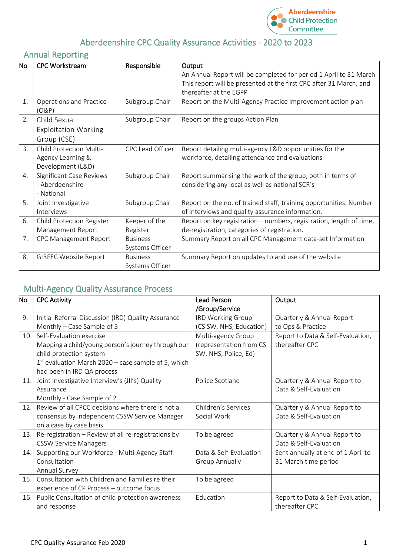

## Aberdeenshire CPC Quality Assurance Activities - 2020 to 2023

## Annual Reporting

| No | <b>CPC Workstream</b>        | Responsible      | Output                                                              |  |  |
|----|------------------------------|------------------|---------------------------------------------------------------------|--|--|
|    |                              |                  | An Annual Report will be completed for period 1 April to 31 March   |  |  |
|    |                              |                  | This report will be presented at the first CPC after 31 March, and  |  |  |
|    |                              |                  | thereafter at the EGPP                                              |  |  |
| 1. | Operations and Practice      | Subgroup Chair   | Report on the Multi-Agency Practice improvement action plan         |  |  |
|    | (O&P)                        |                  |                                                                     |  |  |
| 2. | Child Sexual                 | Subgroup Chair   | Report on the groups Action Plan                                    |  |  |
|    | <b>Exploitation Working</b>  |                  |                                                                     |  |  |
|    | Group (CSE)                  |                  |                                                                     |  |  |
| 3. | Child Protection Multi-      | CPC Lead Officer | Report detailing multi-agency L&D opportunities for the             |  |  |
|    | Agency Learning &            |                  | workforce, detailing attendance and evaluations                     |  |  |
|    | Development (L&D)            |                  |                                                                     |  |  |
| 4. | Significant Case Reviews     | Subgroup Chair   | Report summarising the work of the group, both in terms of          |  |  |
|    | - Aberdeenshire              |                  | considering any local as well as national SCR's                     |  |  |
|    | - National                   |                  |                                                                     |  |  |
| 5. | Joint Investigative          | Subgroup Chair   | Report on the no. of trained staff, training opportunities. Number  |  |  |
|    | Interviews                   |                  | of interviews and quality assurance information.                    |  |  |
| 6. | Child Protection Register    | Keeper of the    | Report on key registration - numbers, registration, length of time, |  |  |
|    | Management Report            | Register         | de-registration, categories of registration.                        |  |  |
| 7. | <b>CPC Management Report</b> | <b>Business</b>  | Summary Report on all CPC Management data-set Information           |  |  |
|    |                              | Systems Officer  |                                                                     |  |  |
| 8. | <b>GIRFEC Website Report</b> | <b>Business</b>  | Summary Report on updates to and use of the website                 |  |  |
|    |                              | Systems Officer  |                                                                     |  |  |

## Multi-Agency Quality Assurance Process

| No  | <b>CPC Activity</b>                                   | Lead Person              | Output                             |  |
|-----|-------------------------------------------------------|--------------------------|------------------------------------|--|
|     |                                                       | /Group/Service           |                                    |  |
| 9.  | Initial Referral Discussion (IRD) Quality Assurance   | <b>IRD Working Group</b> | Quarterly & Annual Report          |  |
|     | Monthly – Case Sample of 5                            | (CS SW, NHS, Education)  | to Ops & Practice                  |  |
| 10. | Self-Evaluation exercise                              | Multi-agency Group       | Report to Data & Self-Evaluation,  |  |
|     | Mapping a child/young person's journey through our    | (representation from CS  | thereafter CPC                     |  |
|     | child protection system                               | SW, NHS, Police, Ed)     |                                    |  |
|     | $1st$ evaluation March 2020 – case sample of 5, which |                          |                                    |  |
|     | had been in IRD QA process                            |                          |                                    |  |
| 11. | Joint Investigative Interview's (JII's) Quality       | Police Scotland          | Quarterly & Annual Report to       |  |
|     | Assurance                                             |                          | Data & Self-Evaluation             |  |
|     | Monthly - Case Sample of 2                            |                          |                                    |  |
| 12. | Review of all CPCC decisions where there is not a     | Children's Services      | Quarterly & Annual Report to       |  |
|     | consensus by independent CSSW Service Manager         | Social Work              | Data & Self-Evaluation             |  |
|     | on a case by case basis                               |                          |                                    |  |
| 13. | Re-registration - Review of all re-registrations by   | To be agreed             | Quarterly & Annual Report to       |  |
|     | <b>CSSW Service Managers</b>                          |                          | Data & Self-Evaluation             |  |
| 14. | Supporting our Workforce - Multi-Agency Staff         | Data & Self-Evaluation   | Sent annually at end of 1 April to |  |
|     | Consultation                                          | <b>Group Annually</b>    | 31 March time period               |  |
|     | Annual Survey                                         |                          |                                    |  |
| 15. | Consultation with Children and Families re their      | To be agreed             |                                    |  |
|     | experience of CP Process - outcome focus              |                          |                                    |  |
| 16. | Public Consultation of child protection awareness     | Education                | Report to Data & Self-Evaluation,  |  |
|     | and response                                          |                          | thereafter CPC                     |  |